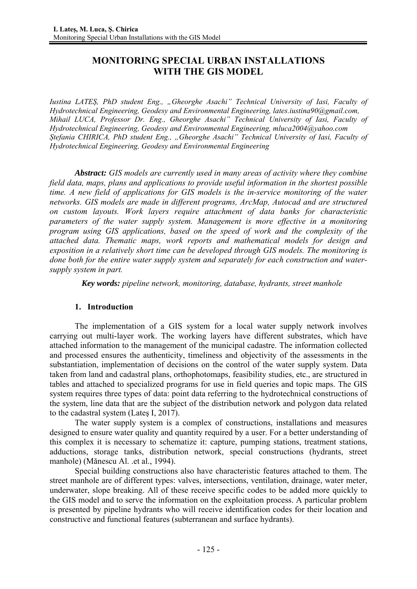# **MONITORING SPECIAL URBAN INSTALLATIONS WITH THE GIS MODEL**

*Iustina LATEȘ, PhD student Eng., "Gheorghe Asachi" Technical University of Iasi, Faculty of Hydrotechnical Engineering, Geodesy and Environmental Engineering, lates.iustina90@gmail.com, Mihail LUCA, Professor Dr. Eng., Gheorghe Asachi" Technical University of Iasi, Faculty of Hydrotechnical Engineering, Geodesy and Environmental Engineering, mluca2004@yahoo.com Ștefania CHIRICA, PhD student Eng., "Gheorghe Asachi" Technical University of Iasi, Faculty of Hydrotechnical Engineering, Geodesy and Environmental Engineering* 

*Abstract: GIS models are currently used in many areas of activity where they combine field data, maps, plans and applications to provide useful information in the shortest possible time. A new field of applications for GIS models is the in-service monitoring of the water networks. GIS models are made in different programs, ArcMap, Autocad and are structured on custom layouts. Work layers require attachment of data banks for characteristic parameters of the water supply system. Management is more effective in a monitoring program using GIS applications, based on the speed of work and the complexity of the attached data. Thematic maps, work reports and mathematical models for design and exposition in a relatively short time can be developed through GIS models. The monitoring is done both for the entire water supply system and separately for each construction and watersupply system in part.* 

 *Key words: pipeline network, monitoring, database, hydrants, street manhole* 

## **1. Introduction**

The implementation of a GIS system for a local water supply network involves carrying out multi-layer work. The working layers have different substrates, which have attached information to the management of the municipal cadastre. The information collected and processed ensures the authenticity, timeliness and objectivity of the assessments in the substantiation, implementation of decisions on the control of the water supply system. Data taken from land and cadastral plans, orthophotomaps, feasibility studies, etc., are structured in tables and attached to specialized programs for use in field queries and topic maps. The GIS system requires three types of data: point data referring to the hydrotechnical constructions of the system, line data that are the subject of the distribution network and polygon data related to the cadastral system (Lateş I, 2017).

The water supply system is a complex of constructions, installations and measures designed to ensure water quality and quantity required by a user. For a better understanding of this complex it is necessary to schematize it: capture, pumping stations, treatment stations, adductions, storage tanks, distribution network, special constructions (hydrants, street manhole) (Mănescu Al. .et al., 1994).

Special building constructions also have characteristic features attached to them. The street manhole are of different types: valves, intersections, ventilation, drainage, water meter, underwater, slope breaking. All of these receive specific codes to be added more quickly to the GIS model and to serve the information on the exploitation process. A particular problem is presented by pipeline hydrants who will receive identification codes for their location and constructive and functional features (subterranean and surface hydrants).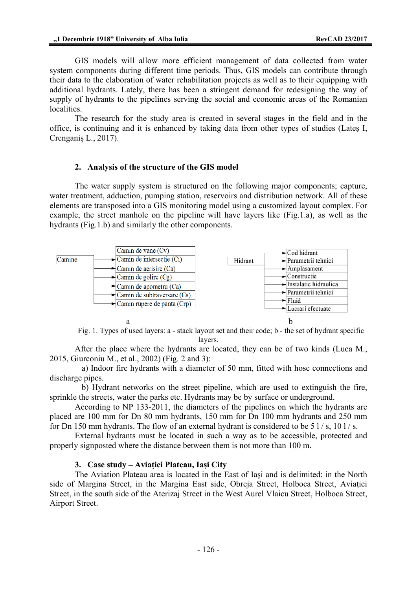GIS models will allow more efficient management of data collected from water system components during different time periods. Thus, GIS models can contribute through their data to the elaboration of water rehabilitation projects as well as to their equipping with additional hydrants. Lately, there has been a stringent demand for redesigning the way of supply of hydrants to the pipelines serving the social and economic areas of the Romanian localities.

The research for the study area is created in several stages in the field and in the office, is continuing and it is enhanced by taking data from other types of studies (Lateş I, Crenganiș L., 2017).

### **2. Analysis of the structure of the GIS model**

The water supply system is structured on the following major components; capture, water treatment, adduction, pumping station, reservoirs and distribution network. All of these elements are transposed into a GIS monitoring model using a customized layout complex. For example, the street manhole on the pipeline will have layers like (Fig.1.a), as well as the hydrants (Fig.1.b) and similarly the other components.



Fig. 1. Types of used layers: a - stack layout set and their code; b - the set of hydrant specific layers.

After the place where the hydrants are located, they can be of two kinds (Luca M., 2015, Giurconiu M., et al., 2002) (Fig. 2 and 3):

 a) Indoor fire hydrants with a diameter of 50 mm, fitted with hose connections and discharge pipes.

 b) Hydrant networks on the street pipeline, which are used to extinguish the fire, sprinkle the streets, water the parks etc. Hydrants may be by surface or underground.

According to NP 133-2011, the diameters of the pipelines on which the hydrants are placed are 100 mm for Dn 80 mm hydrants, 150 mm for Dn 100 mm hydrants and 250 mm for Dn 150 mm hydrants. The flow of an external hydrant is considered to be  $51/$  s,  $101/$  s.

External hydrants must be located in such a way as to be accessible, protected and properly signposted where the distance between them is not more than 100 m.

#### **3. Case study – Aviației Plateau, Iași City**

The Aviation Plateau area is located in the East of Iaşi and is delimited: in the North side of Margina Street, in the Margina East side, Obreja Street, Holboca Street, Aviaţiei Street, in the south side of the Aterizaj Street in the West Aurel Vlaicu Street, Holboca Street, Airport Street.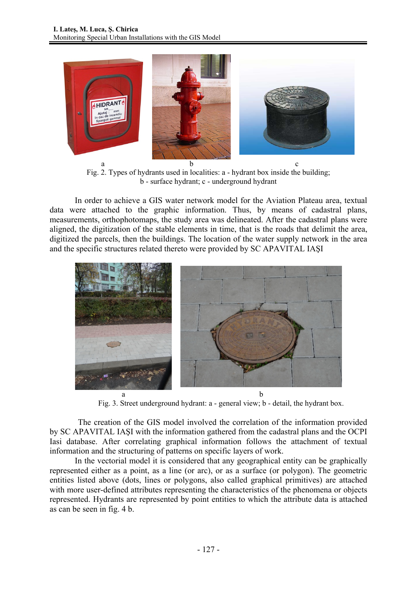

Fig. 2. Types of hydrants used in localities: a - hydrant box inside the building; b - surface hydrant; c - underground hydrant

In order to achieve a GIS water network model for the Aviation Plateau area, textual data were attached to the graphic information. Thus, by means of cadastral plans, measurements, orthophotomaps, the study area was delineated. After the cadastral plans were aligned, the digitization of the stable elements in time, that is the roads that delimit the area, digitized the parcels, then the buildings. The location of the water supply network in the area and the specific structures related thereto were provided by SC APAVITAL IAŞI



Fig. 3. Street underground hydrant: a - general view; b - detail, the hydrant box.

The creation of the GIS model involved the correlation of the information provided by SC APAVITAL IAŞI with the information gathered from the cadastral plans and the OCPI Iasi database. After correlating graphical information follows the attachment of textual information and the structuring of patterns on specific layers of work.

In the vectorial model it is considered that any geographical entity can be graphically represented either as a point, as a line (or arc), or as a surface (or polygon). The geometric entities listed above (dots, lines or polygons, also called graphical primitives) are attached with more user-defined attributes representing the characteristics of the phenomena or objects represented. Hydrants are represented by point entities to which the attribute data is attached as can be seen in fig. 4 b.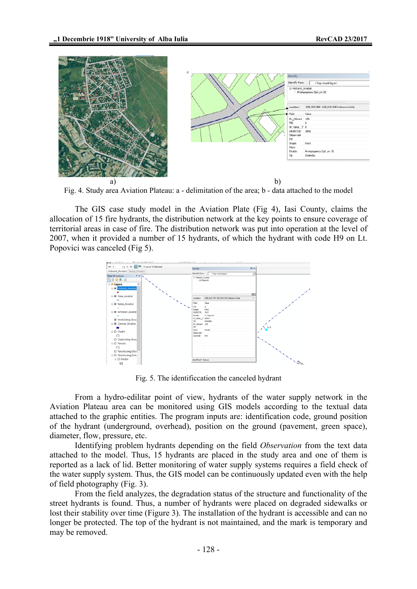

Fig. 4. Study area Aviation Plateau: a - delimitation of the area; b - data attached to the model

The GIS case study model in the Aviation Plate (Fig 4), Iasi County, claims the allocation of 15 fire hydrants, the distribution network at the key points to ensure coverage of territorial areas in case of fire. The distribution network was put into operation at the level of 2007, when it provided a number of 15 hydrants, of which the hydrant with code H9 on Lt. Popovici was canceled (Fig 5).



Fig. 5. The identificcation the canceled hydrant

From a hydro-edilitar point of view, hydrants of the water supply network in the Aviation Plateau area can be monitored using GIS models according to the textual data attached to the graphic entities. The program inputs are: identification code, ground position of the hydrant (underground, overhead), position on the ground (pavement, green space), diameter, flow, pressure, etc.

Identifying problem hydrants depending on the field *Observation* from the text data attached to the model. Thus, 15 hydrants are placed in the study area and one of them is reported as a lack of lid. Better monitoring of water supply systems requires a field check of the water supply system. Thus, the GIS model can be continuously updated even with the help of field photography (Fig. 3).

From the field analyzes, the degradation status of the structure and functionality of the street hydrants is found. Thus, a number of hydrants were placed on degraded sidewalks or lost their stability over time (Figure 3). The installation of the hydrant is accessible and can no longer be protected. The top of the hydrant is not maintained, and the mark is temporary and may be removed.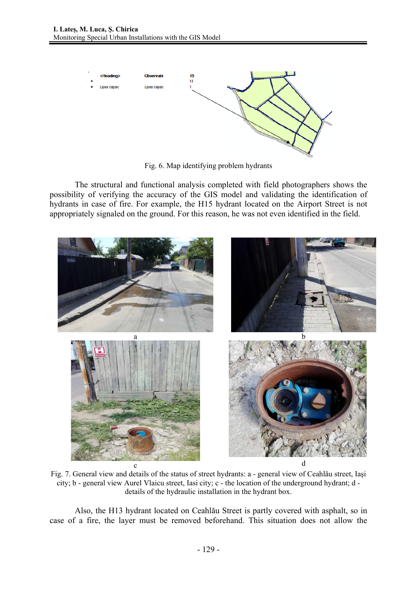

Fig. 6. Map identifying problem hydrants

The structural and functional analysis completed with field photographers shows the possibility of verifying the accuracy of the GIS model and validating the identification of hydrants in case of fire. For example, the H15 hydrant located on the Airport Street is not appropriately signaled on the ground. For this reason, he was not even identified in the field.



Fig. 7. General view and details of the status of street hydrants: a - general view of Ceahlău street, Iaşi city; b - general view Aurel Vlaicu street, Iasi city; c - the location of the underground hydrant; d details of the hydraulic installation in the hydrant box.

Also, the H13 hydrant located on Ceahlău Street is partly covered with asphalt, so in case of a fire, the layer must be removed beforehand. This situation does not allow the